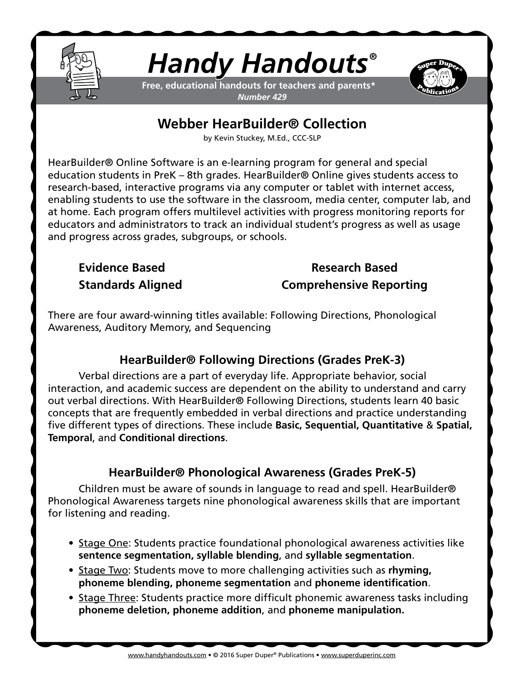

# *Handy Handouts®*

**Free, educational handouts for teachers and parents\*** *Number 429*



# **Webber HearBuilder® Collection**

by Kevin Stuckey, M.Ed., CCC-SLP

HearBuilder® Online Software is an e-learning program for general and special education students in PreK – 8th grades. HearBuilder® Online gives students access to research-based, interactive programs via any computer or tablet with internet access, enabling students to use the software in the classroom, media center, computer lab, and at home. Each program offers multilevel activities with progress monitoring reports for educators and administrators to track an individual student's progress as well as usage and progress across grades, subgroups, or schools.

# **Evidence Based Research Based Standards Aligned Comprehensive Reporting**

There are four award-winning titles available: Following Directions, Phonological Awareness, Auditory Memory, and Sequencing

# **HearBuilder® Following Directions (Grades PreK-3)**

Verbal directions are a part of everyday life. Appropriate behavior, social interaction, and academic success are dependent on the ability to understand and carry out verbal directions. With HearBuilder® Following Directions, students learn 40 basic concepts that are frequently embedded in verbal directions and practice understanding five different types of directions. These include **Basic, Sequential, Quantitative** & **Spatial, Temporal**, and **Conditional directions**.

# **HearBuilder® Phonological Awareness (Grades PreK-5)**

Children must be aware of sounds in language to read and spell. HearBuilder® Phonological Awareness targets nine phonological awareness skills that are important for listening and reading.

- Stage One: Students practice foundational phonological awareness activities like **sentence segmentation, syllable blending**, and **syllable segmentation**.
- Stage Two: Students move to more challenging activities such as **rhyming, phoneme blending, phoneme segmentation** and **phoneme identification**.
- Stage Three: Students practice more difficult phonemic awareness tasks including **phoneme deletion, phoneme addition**, and **phoneme manipulation.**